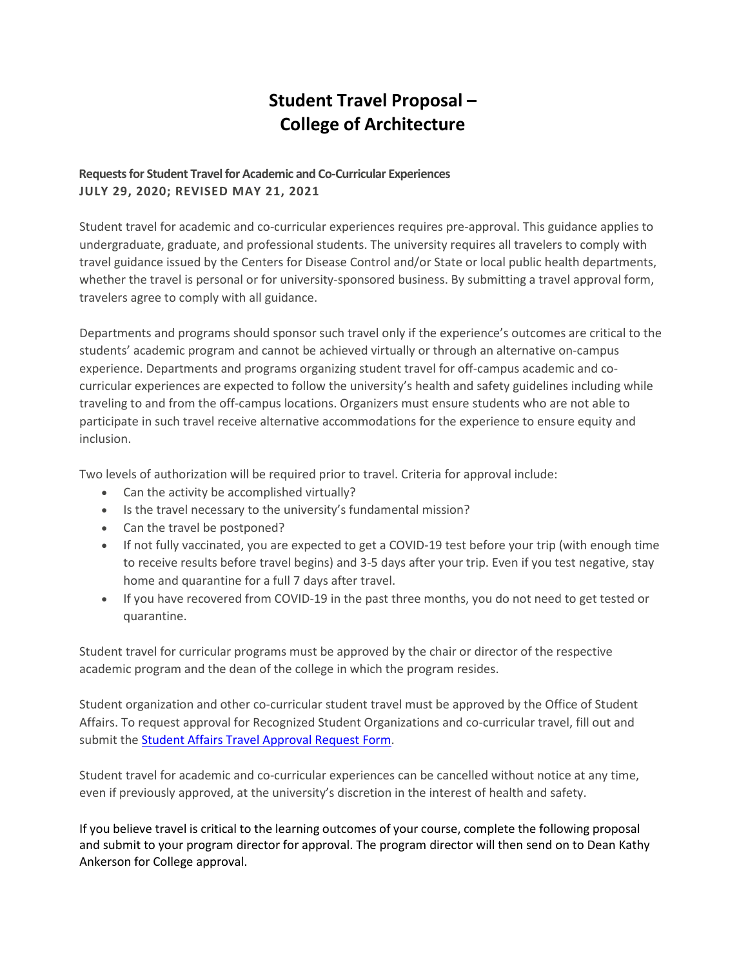## **Student Travel Proposal – College of Architecture**

## **Requests for Student Travel for Academic and Co-Curricular Experiences JULY 29, 2020; REVISED MAY 21, 2021**

Student travel for academic and co-curricular experiences requires pre-approval. This guidance applies to undergraduate, graduate, and professional students. The university requires all travelers to comply with travel guidance issued by the Centers for Disease Control and/or State or local public health departments, whether the travel is personal or for university-sponsored business. By submitting a travel approval form, travelers agree to comply with all guidance.

Departments and programs should sponsor such travel only if the experience's outcomes are critical to the students' academic program and cannot be achieved virtually or through an alternative on-campus experience. Departments and programs organizing student travel for off-campus academic and cocurricular experiences are expected to follow the university's health and safety guidelines including while traveling to and from the off-campus locations. Organizers must ensure students who are not able to participate in such travel receive alternative accommodations for the experience to ensure equity and inclusion.

Two levels of authorization will be required prior to travel. Criteria for approval include:

- Can the activity be accomplished virtually?
- Is the travel necessary to the university's fundamental mission?
- Can the travel be postponed?
- If not fully vaccinated, you are expected to get a COVID-19 test before your trip (with enough time to receive results before travel begins) and 3-5 days after your trip. Even if you test negative, stay home and quarantine for a full 7 days after travel.
- If you have recovered from COVID-19 in the past three months, you do not need to get tested or quarantine.

Student travel for curricular programs must be approved by the chair or director of the respective academic program and the dean of the college in which the program resides.

Student organization and other co-curricular student travel must be approved by the Office of Student Affairs. To request approval for Recognized Student Organizations and co-curricular travel, fill out and submit the [Student Affairs Travel Approval Request Form.](https://app.smartsheet.com/b/form/92c87d101cf3484e9868b4c2917deefc)

Student travel for academic and co-curricular experiences can be cancelled without notice at any time, even if previously approved, at the university's discretion in the interest of health and safety.

If you believe travel is critical to the learning outcomes of your course, complete the following proposal and submit to your program director for approval. The program director will then send on to Dean Kathy Ankerson for College approval.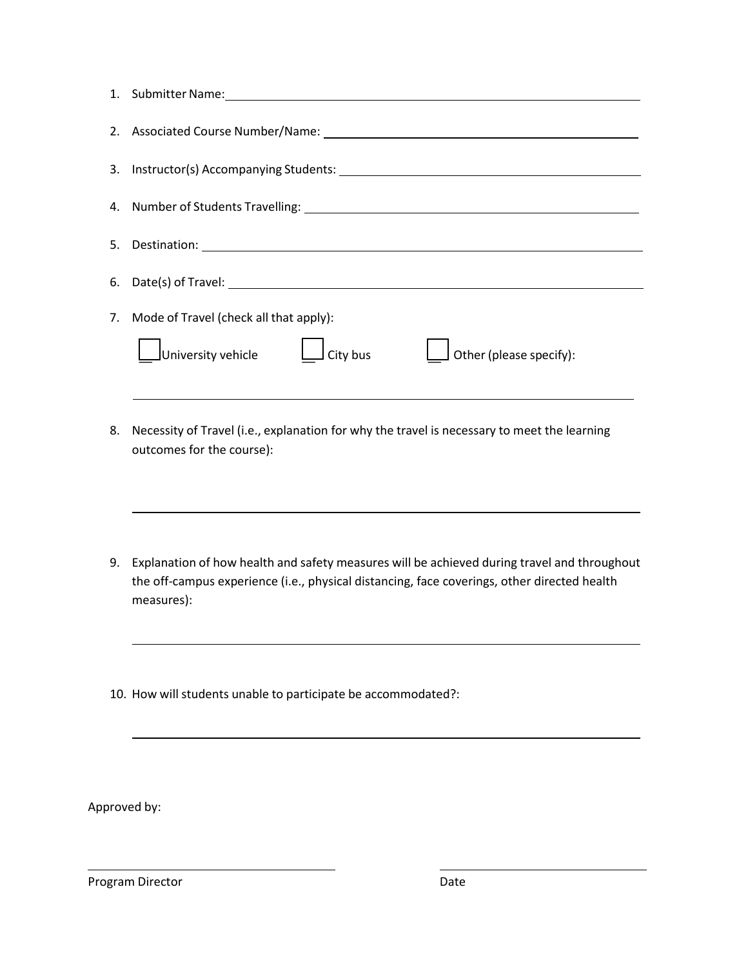| 6. |                                                                                                                                                                                                          |
|----|----------------------------------------------------------------------------------------------------------------------------------------------------------------------------------------------------------|
| 7. | Mode of Travel (check all that apply):                                                                                                                                                                   |
|    | $\Box$ City bus<br>University vehicle<br>$\rfloor$ Other (please specify):                                                                                                                               |
| 8. | Necessity of Travel (i.e., explanation for why the travel is necessary to meet the learning<br>outcomes for the course):                                                                                 |
| 9. | Explanation of how health and safety measures will be achieved during travel and throughout<br>the off-campus experience (i.e., physical distancing, face coverings, other directed health<br>measures): |
|    | 10. How will students unable to participate be accommodated?:                                                                                                                                            |
|    |                                                                                                                                                                                                          |

Approved by:

Program Director **Date**